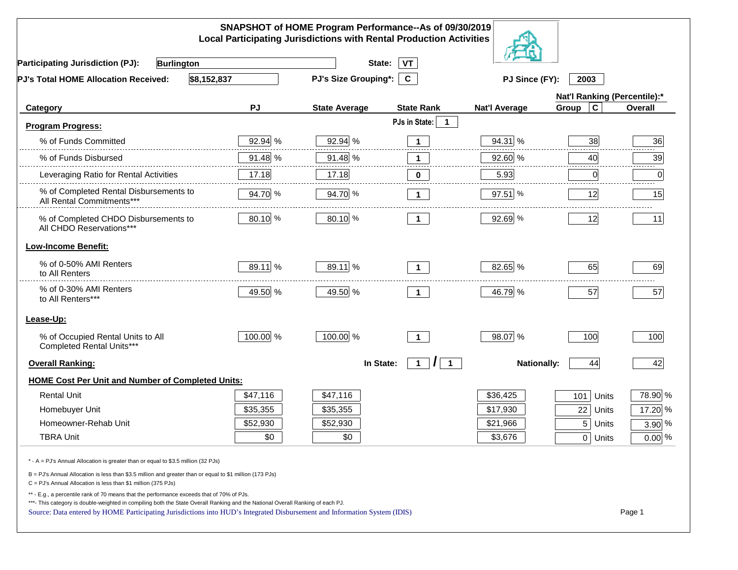|                                                                                                                                                                                                                                                                                                                                                          |           | SNAPSHOT of HOME Program Performance--As of 09/30/2019<br><b>Local Participating Jurisdictions with Rental Production Activities</b> |                                                |                      |                              |          |
|----------------------------------------------------------------------------------------------------------------------------------------------------------------------------------------------------------------------------------------------------------------------------------------------------------------------------------------------------------|-----------|--------------------------------------------------------------------------------------------------------------------------------------|------------------------------------------------|----------------------|------------------------------|----------|
| <b>Participating Jurisdiction (PJ):</b><br>Burlington                                                                                                                                                                                                                                                                                                    |           | State:                                                                                                                               | VT                                             |                      |                              |          |
| \$8,152,837<br>PJ's Total HOME Allocation Received:                                                                                                                                                                                                                                                                                                      |           | <b>PJ's Size Grouping*:</b>                                                                                                          | $\mathbf{C}$                                   | PJ Since (FY):       | 2003                         |          |
|                                                                                                                                                                                                                                                                                                                                                          |           |                                                                                                                                      |                                                |                      | Nat'l Ranking (Percentile):* |          |
| Category                                                                                                                                                                                                                                                                                                                                                 | <b>PJ</b> | <b>State Average</b>                                                                                                                 | <b>State Rank</b>                              | <b>Nat'l Average</b> | Group<br>C                   | Overall  |
| <b>Program Progress:</b>                                                                                                                                                                                                                                                                                                                                 |           |                                                                                                                                      | PJs in State:<br>1                             |                      |                              |          |
| % of Funds Committed                                                                                                                                                                                                                                                                                                                                     | 92.94 %   | 92.94 %                                                                                                                              | $\mathbf 1$                                    | 94.31 %              | 38                           | 36       |
| % of Funds Disbursed                                                                                                                                                                                                                                                                                                                                     | 91.48 %   | 91.48 %                                                                                                                              | $\mathbf{1}$                                   | 92.60 %              | 40                           | 39       |
| Leveraging Ratio for Rental Activities                                                                                                                                                                                                                                                                                                                   | 17.18     | 17.18                                                                                                                                | $\mathbf 0$                                    | 5.93                 | 0                            | 0        |
| % of Completed Rental Disbursements to<br>All Rental Commitments***                                                                                                                                                                                                                                                                                      | 94.70 %   | 94.70 %                                                                                                                              | $\mathbf 1$                                    | 97.51 %              | 12                           | 15       |
| % of Completed CHDO Disbursements to<br>All CHDO Reservations***                                                                                                                                                                                                                                                                                         | 80.10 %   | 80.10 %                                                                                                                              | $\mathbf 1$                                    | 92.69 %              | 12                           | 11       |
| <b>Low-Income Benefit:</b>                                                                                                                                                                                                                                                                                                                               |           |                                                                                                                                      |                                                |                      |                              |          |
| % of 0-50% AMI Renters<br>to All Renters                                                                                                                                                                                                                                                                                                                 | 89.11 %   | 89.11 %                                                                                                                              | $\mathbf 1$                                    | 82.65 %              | 65                           | 69       |
| % of 0-30% AMI Renters<br>to All Renters***                                                                                                                                                                                                                                                                                                              | 49.50 %   | 49.50 %                                                                                                                              | $\mathbf 1$                                    | 46.79 %              | 57                           | 57       |
| Lease-Up:                                                                                                                                                                                                                                                                                                                                                |           |                                                                                                                                      |                                                |                      |                              |          |
| % of Occupied Rental Units to All<br>Completed Rental Units***                                                                                                                                                                                                                                                                                           | 100.00 %  | 100.00 %                                                                                                                             | $\mathbf{1}$                                   | 98.07 %              | 100                          | 100      |
| <b>Overall Ranking:</b>                                                                                                                                                                                                                                                                                                                                  |           | In State:                                                                                                                            | $\overline{1}$<br>$\mathbf{1}$<br>$\mathbf{I}$ | <b>Nationally:</b>   | 44                           | 42       |
| <b>HOME Cost Per Unit and Number of Completed Units:</b>                                                                                                                                                                                                                                                                                                 |           |                                                                                                                                      |                                                |                      |                              |          |
| <b>Rental Unit</b>                                                                                                                                                                                                                                                                                                                                       | \$47,116  | \$47,116                                                                                                                             |                                                | \$36,425             | 101<br>Units                 | 78.90 %  |
| Homebuyer Unit                                                                                                                                                                                                                                                                                                                                           | \$35,355  | \$35,355                                                                                                                             |                                                | \$17,930             | 22<br>Units                  | 17.20 %  |
| Homeowner-Rehab Unit                                                                                                                                                                                                                                                                                                                                     | \$52,930  | \$52,930                                                                                                                             |                                                | \$21,966             | 5<br>Units                   | $3.90\%$ |
| <b>TBRA Unit</b>                                                                                                                                                                                                                                                                                                                                         | \$0       | \$0                                                                                                                                  |                                                | \$3,676              | 0 Units                      | $0.00\%$ |
| * - A = PJ's Annual Allocation is greater than or equal to \$3.5 million (32 PJs)                                                                                                                                                                                                                                                                        |           |                                                                                                                                      |                                                |                      |                              |          |
| B = PJ's Annual Allocation is less than \$3.5 million and greater than or equal to \$1 million (173 PJs)<br>C = PJ's Annual Allocation is less than \$1 million (375 PJs)                                                                                                                                                                                |           |                                                                                                                                      |                                                |                      |                              |          |
| ** - E.g., a percentile rank of 70 means that the performance exceeds that of 70% of PJs.<br>***- This category is double-weighted in compiling both the State Overall Ranking and the National Overall Ranking of each PJ.<br>Source: Data entered by HOME Participating Jurisdictions into HUD's Integrated Disbursement and Information System (IDIS) |           |                                                                                                                                      |                                                |                      |                              | Page 1   |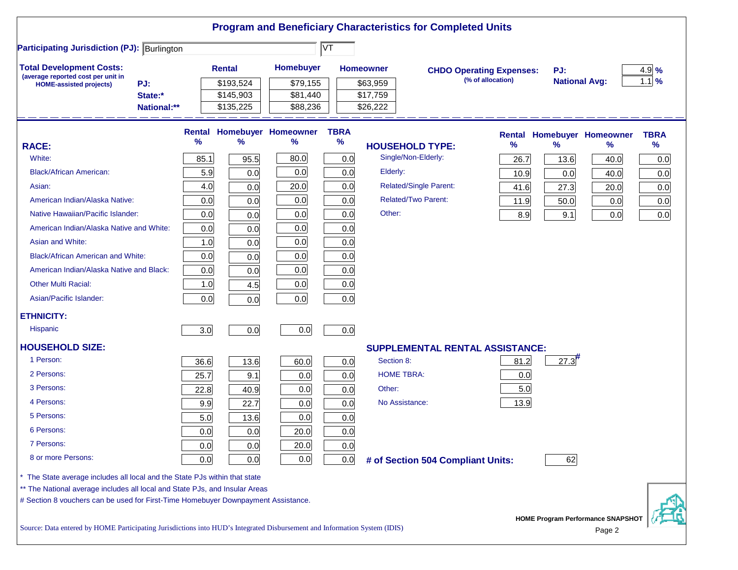|                                                                                                                           |             |        |               |                            |                        |                   | <b>Program and Beneficiary Characteristics for Completed Units</b> |                   |                      |                                             |             |
|---------------------------------------------------------------------------------------------------------------------------|-------------|--------|---------------|----------------------------|------------------------|-------------------|--------------------------------------------------------------------|-------------------|----------------------|---------------------------------------------|-------------|
| <b>Participating Jurisdiction (PJ): Burlington</b>                                                                        |             |        |               |                            | $\overline{\text{VT}}$ |                   |                                                                    |                   |                      |                                             |             |
| <b>Total Development Costs:</b>                                                                                           |             |        | <b>Rental</b> | <b>Homebuyer</b>           |                        | <b>Homeowner</b>  | <b>CHDO Operating Expenses:</b>                                    |                   | PJ:                  |                                             | $4.9\%$     |
| (average reported cost per unit in<br>PJ:<br><b>HOME-assisted projects)</b>                                               |             |        | \$193,524     | \$79,155                   |                        | \$63,959          |                                                                    | (% of allocation) | <b>National Avg:</b> |                                             | $1.1$ %     |
| State:*                                                                                                                   |             |        | \$145,903     | \$81,440                   |                        | \$17,759          |                                                                    |                   |                      |                                             |             |
|                                                                                                                           | National:** |        | \$135,225     | \$88,236                   |                        | \$26,222          |                                                                    |                   |                      |                                             |             |
|                                                                                                                           |             | Rental |               | <b>Homebuyer Homeowner</b> | <b>TBRA</b>            |                   |                                                                    |                   |                      | <b>Rental Homebuyer Homeowner</b>           | <b>TBRA</b> |
| <b>RACE:</b>                                                                                                              |             | %      | ℅             | ℅                          | %                      |                   | <b>HOUSEHOLD TYPE:</b>                                             | $\%$              | $\frac{9}{6}$        | %                                           | %           |
| White:                                                                                                                    |             | 85.1   | 95.5          | 80.0                       | 0.0                    |                   | Single/Non-Elderly:                                                | 26.7              | 13.6                 | 40.0                                        | 0.0         |
| <b>Black/African American:</b>                                                                                            |             | 5.9    | 0.0           | 0.0                        | 0.0                    | Elderly:          |                                                                    | 10.9              | 0.0                  | 40.0                                        | 0.0         |
| Asian:                                                                                                                    |             | 4.0    | 0.0           | 20.0                       | 0.0                    |                   | <b>Related/Single Parent:</b>                                      | 41.6              | 27.3                 | 20.0                                        | 0.0         |
| American Indian/Alaska Native:                                                                                            |             | 0.0    | 0.0           | 0.0                        | 0.0                    |                   | <b>Related/Two Parent:</b>                                         | 11.9              | 50.0                 | 0.0                                         | 0.0         |
| Native Hawaiian/Pacific Islander:                                                                                         |             | 0.0    | 0.0           | 0.0                        | 0.0                    | Other:            |                                                                    | 8.9               | 9.1                  | 0.0                                         | 0.0         |
| American Indian/Alaska Native and White:                                                                                  |             | 0.0    | 0.0           | 0.0                        | 0.0                    |                   |                                                                    |                   |                      |                                             |             |
| Asian and White:                                                                                                          |             | 1.0    | 0.0           | 0.0                        | 0.0                    |                   |                                                                    |                   |                      |                                             |             |
| <b>Black/African American and White:</b>                                                                                  |             | 0.0    | 0.0           | 0.0                        | 0.0                    |                   |                                                                    |                   |                      |                                             |             |
| American Indian/Alaska Native and Black:                                                                                  |             | 0.0    | 0.0           | 0.0                        | 0.0                    |                   |                                                                    |                   |                      |                                             |             |
| <b>Other Multi Racial:</b>                                                                                                |             | 1.0    | 4.5           | 0.0                        | 0.0                    |                   |                                                                    |                   |                      |                                             |             |
| Asian/Pacific Islander:                                                                                                   |             | 0.0    | 0.0           | 0.0                        | 0.0                    |                   |                                                                    |                   |                      |                                             |             |
| <b>ETHNICITY:</b>                                                                                                         |             |        |               |                            |                        |                   |                                                                    |                   |                      |                                             |             |
| <b>Hispanic</b>                                                                                                           |             | 3.0    | 0.0           | 0.0                        | 0.0                    |                   |                                                                    |                   |                      |                                             |             |
| <b>HOUSEHOLD SIZE:</b>                                                                                                    |             |        |               |                            |                        |                   | <b>SUPPLEMENTAL RENTAL ASSISTANCE:</b>                             |                   |                      |                                             |             |
| 1 Person:                                                                                                                 |             | 36.6   | 13.6          | 60.0                       | 0.0                    | Section 8:        |                                                                    | 81.2              | 27.3                 |                                             |             |
| 2 Persons:                                                                                                                |             | 25.7   | 9.1           | 0.0                        | 0.0                    | <b>HOME TBRA:</b> |                                                                    | 0.0               |                      |                                             |             |
| 3 Persons:                                                                                                                |             | 22.8   | 40.9          | 0.0                        | 0.0                    | Other:            |                                                                    | 5.0               |                      |                                             |             |
| 4 Persons:                                                                                                                |             | 9.9    | 22.7          | 0.0                        | 0.0                    | No Assistance:    |                                                                    | 13.9              |                      |                                             |             |
| 5 Persons:                                                                                                                |             | 5.0    | 13.6          | 0.0                        | 0.0                    |                   |                                                                    |                   |                      |                                             |             |
| 6 Persons:                                                                                                                |             | 0.0    | 0.0           | 20.0                       | 0.0                    |                   |                                                                    |                   |                      |                                             |             |
| 7 Persons:                                                                                                                |             | 0.0    | 0.0           | 20.0                       | 0.0                    |                   |                                                                    |                   |                      |                                             |             |
| 8 or more Persons:                                                                                                        |             | 0.0    | 0.0           | 0.0                        | 0.0                    |                   | # of Section 504 Compliant Units:                                  |                   | 62                   |                                             |             |
| The State average includes all local and the State PJs within that state                                                  |             |        |               |                            |                        |                   |                                                                    |                   |                      |                                             |             |
| ** The National average includes all local and State PJs, and Insular Areas                                               |             |        |               |                            |                        |                   |                                                                    |                   |                      |                                             |             |
| # Section 8 vouchers can be used for First-Time Homebuyer Downpayment Assistance.                                         |             |        |               |                            |                        |                   |                                                                    |                   |                      |                                             |             |
| Source: Data entered by HOME Participating Jurisdictions into HUD's Integrated Disbursement and Information System (IDIS) |             |        |               |                            |                        |                   |                                                                    |                   |                      | HOME Program Performance SNAPSHOT<br>Page 2 |             |